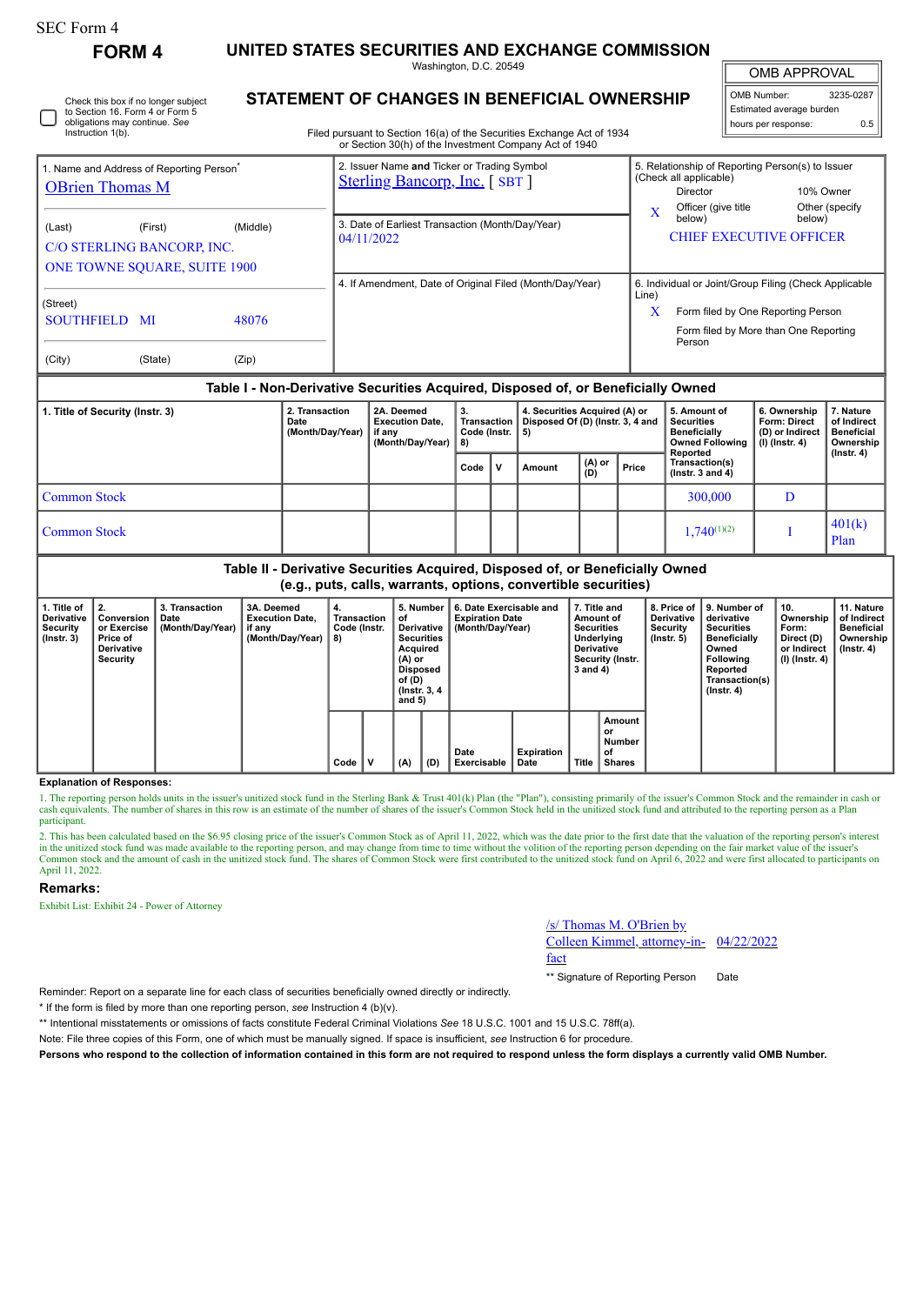| SEC Form 4 |  |
|------------|--|
|------------|--|

Instruction 1(b).

Check this box if no longer subject to Section 16. Form 4 or Form 5 obligations may continue. *See*

**FORM 4 UNITED STATES SECURITIES AND EXCHANGE COMMISSION** Washington, D.C. 20549

OMB APPROVAL

 $\mathbb{I}$ 

| STATEMENT OF CHANGES IN BENEFICIAL OWNERSHIP                           | II OMB Number:           | 3235-0287 |
|------------------------------------------------------------------------|--------------------------|-----------|
|                                                                        | Estimated average burden |           |
| Filed pursuant to Section 16(a) of the Securities Exchange Act of 1934 | I hours per response:    | 0.5       |
|                                                                        |                          |           |

|                                                                                             | or Section 30(h) of the Investment Company Act of 1940                              |                                                                                                                                                              |
|---------------------------------------------------------------------------------------------|-------------------------------------------------------------------------------------|--------------------------------------------------------------------------------------------------------------------------------------------------------------|
| 1. Name and Address of Reporting Person <sup>®</sup><br><b>OBrien Thomas M</b>              | 2. Issuer Name and Ticker or Trading Symbol<br><b>Sterling Bancorp, Inc.</b> [SBT ] | 5. Relationship of Reporting Person(s) to Issuer<br>(Check all applicable)<br>10% Owner<br>Director<br>Other (specify<br>Officer (give title                 |
| (Middle)<br>(Last)<br>(First)<br>C/O STERLING BANCORP, INC.<br>ONE TOWNE SQUARE, SUITE 1900 | 3. Date of Earliest Transaction (Month/Day/Year)<br>04/11/2022                      | X<br>below)<br>below)<br><b>CHIEF EXECUTIVE OFFICER</b>                                                                                                      |
| (Street)<br><b>SOUTHFIELD MI</b><br>48076<br>(City)<br>(State)<br>(Zip)                     | 4. If Amendment, Date of Original Filed (Month/Day/Year)                            | 6. Individual or Joint/Group Filing (Check Applicable<br>Line)<br>x<br>Form filed by One Reporting Person<br>Form filed by More than One Reporting<br>Person |

### **Table I - Non-Derivative Securities Acquired, Disposed of, or Beneficially Owned**

| 1. Title of Security (Instr. 3) | 2. Transaction<br>Date<br>(Month/Day/Year) | 2A. Deemed<br><b>Execution Date.</b><br>if anv<br>(Month/Day/Year) | Transaction<br>Code (Instr.  <br>Code V |  | 4. Securities Acquired (A) or<br>Disposed Of (D) (Instr. 3, 4 and<br>-5) |                                                   |       | 5. Amount of<br><b>Securities</b><br><b>Beneficially</b><br><b>Owned Following</b><br>Reported | 6. Ownership<br><b>Form: Direct</b><br>(D) or Indirect<br>$(l)$ (lnstr. 4) | 7. Nature<br>of Indirect<br><b>Beneficial</b><br>Ownership<br>(Instr. 4) |
|---------------------------------|--------------------------------------------|--------------------------------------------------------------------|-----------------------------------------|--|--------------------------------------------------------------------------|---------------------------------------------------|-------|------------------------------------------------------------------------------------------------|----------------------------------------------------------------------------|--------------------------------------------------------------------------|
|                                 |                                            |                                                                    |                                         |  | Amount                                                                   | $\begin{pmatrix} (A) & or \\ (D) & \end{pmatrix}$ | Price | Transaction(s)<br>$($ lnstr. 3 and 4 $)$                                                       |                                                                            |                                                                          |
| <b>Common Stock</b>             |                                            |                                                                    |                                         |  |                                                                          |                                                   |       | 300,000                                                                                        | D                                                                          |                                                                          |
| <b>Common Stock</b>             |                                            |                                                                    |                                         |  |                                                                          |                                                   |       | $1.740^{(1)(2)}$                                                                               |                                                                            | 401(k)<br>Plan                                                           |

**Table II - Derivative Securities Acquired, Disposed of, or Beneficially Owned (e.g., puts, calls, warrants, options, convertible securities)**

| 1. Title of<br>Derivative<br>Security<br>$($ lnstr. 3 $)$ | $\vert$ 2.<br>Conversion<br>or Exercise<br>Price of<br><b>Derivative</b><br>Security | 3. Transaction<br>Date<br>(Month/Day/Year)   if any | 3A. Deemed<br><b>Execution Date,</b><br>(Month/Day/Year) | 4.<br>Transaction<br>Code (Instr.<br>8) |   | 5. Number<br>οt<br>Derivative<br><b>Securities</b><br>Acquired<br>(A) or<br><b>Disposed</b><br>of (D)<br>(Instr. 3, 4)<br>and $5)$ |     | 6. Date Exercisable and<br><b>Expiration Date</b><br>(Month/Day/Year) |                           | 7. Title and<br>Amount of<br><b>Securities</b><br>Underlying<br><b>Derivative</b><br>Security (Instr.<br>3 and 4) |                                               | 8. Price of I<br>Derivative<br>Security<br>$($ lnstr. 5 $)$ | 9. Number of<br>derivative<br><b>Securities</b><br><b>Beneficially</b><br>Owned<br><b>Following</b><br>Reported<br>Transaction(s)<br>$($ Instr. 4 $)$ | 10.<br>Ownership<br>Form:<br>Direct (D)<br>or Indirect<br>(I) (Instr. 4) | 11. Nature<br>of Indirect<br><b>Beneficial</b><br>Ownership<br>$($ lnstr. 4 $)$ |
|-----------------------------------------------------------|--------------------------------------------------------------------------------------|-----------------------------------------------------|----------------------------------------------------------|-----------------------------------------|---|------------------------------------------------------------------------------------------------------------------------------------|-----|-----------------------------------------------------------------------|---------------------------|-------------------------------------------------------------------------------------------------------------------|-----------------------------------------------|-------------------------------------------------------------|-------------------------------------------------------------------------------------------------------------------------------------------------------|--------------------------------------------------------------------------|---------------------------------------------------------------------------------|
|                                                           |                                                                                      |                                                     |                                                          | Code                                    | v | (A)                                                                                                                                | (D) | Date<br>Exercisable                                                   | <b>Expiration</b><br>Date | Title                                                                                                             | Amount<br>or<br>Number<br>οf<br><b>Shares</b> |                                                             |                                                                                                                                                       |                                                                          |                                                                                 |

#### **Explanation of Responses:**

1. The reporting person holds units in the issuer's unitized stock fund in the Sterling Bank & Trust 401(k) Plan (the "Plan"), consisting primarily of the issuer's Common Stock and the remainder in cash or cash equivalents. The number of shares in this row is an estimate of the number of shares of the issuer's Common Stock held in the unitized stock fund and attributed to the reporting person as a Plan participant.

2. This has been calculated based on the \$6.95 closing price of the issuer's Common Stock as of April 11, 2022, which was the date prior to the first date that the valuation of the reporting person's interest in the unitized stock fund was made available to the reporting person, and may change from time to time without the volition of the reporting person depending on the fair market value of the issuer's Common stock and the amount of cash in the unitized stock fund. The shares of Common Stock were first contributed to the unitized stock fund on April 6, 2022 and were first allocated to participants on April 11, 2022.

#### **Remarks:**

Exhibit List: Exhibit 24 - Power of Attorney

# /s/ Thomas M. O'Brien by

Colleen Kimmel, attorney-in-04/22/2022 fact

\*\* Signature of Reporting Person Date

Reminder: Report on a separate line for each class of securities beneficially owned directly or indirectly.

\* If the form is filed by more than one reporting person, *see* Instruction 4 (b)(v).

\*\* Intentional misstatements or omissions of facts constitute Federal Criminal Violations *See* 18 U.S.C. 1001 and 15 U.S.C. 78ff(a).

Note: File three copies of this Form, one of which must be manually signed. If space is insufficient, *see* Instruction 6 for procedure.

**Persons who respond to the collection of information contained in this form are not required to respond unless the form displays a currently valid OMB Number.**